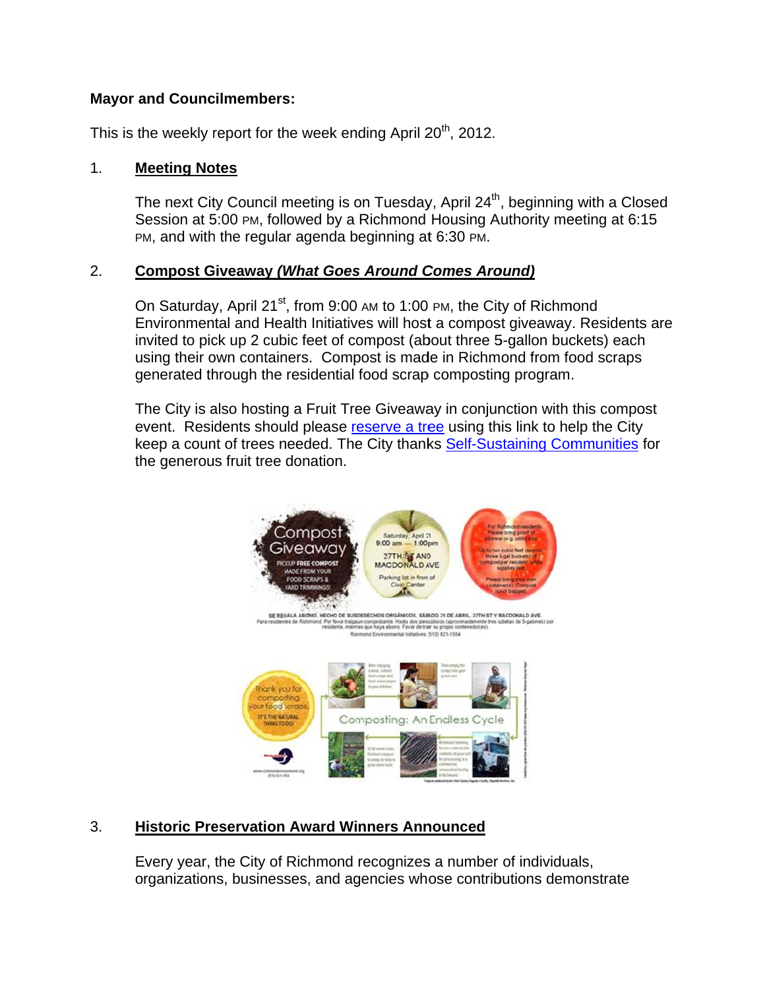# **Mayor and Councilmembers:**

This is the weekly report for the week ending April 20<sup>th</sup>, 2012.

#### 1. **M Meeting Notes**

The next City Council meeting is on Tuesday, April 24<sup>th</sup>, beginning with a Closed Session at 5:00 PM, followed by a Richmond Housing Authority meeting at 6:15 PM, and with the regular agenda beginning at 6:30 PM.

#### 2. **C Compost Giveaway** *(What Goes Around Comes Around)*

On Saturday, April 21<sup>st</sup>, from 9:00 AM to 1:00 PM, the City of Richmond Environmental and Health Initiatives will host a compost giveaway. Residents are invited to pick up 2 cubic feet of compost (about three 5-gallon buckets) each using their own containers. Compost is made in Richmond from food scraps generated through the residential food scrap composting program. invited to pick up 2 cubic feet of compost (about three 5-gallon buckets) each<br>using their own containers. Compost is made in Richmond from food scraps<br>generated through the residential food scrap composting program.<br>The

event. Residents should please reserve a tree using this link to help the City event. Residents should please <u>reserve a tree</u> using this link to help the City<br>keep a count of trees needed. The City thanks <u>Self-Sustaining Communities</u> for the generous fruit tree donation.



#### 3. **H Historic Preservation Award Winners Announced**

Every year, the City of Richmond recognizes a number of individuals, organizations, businesses, and agencies whose contributions demonstrate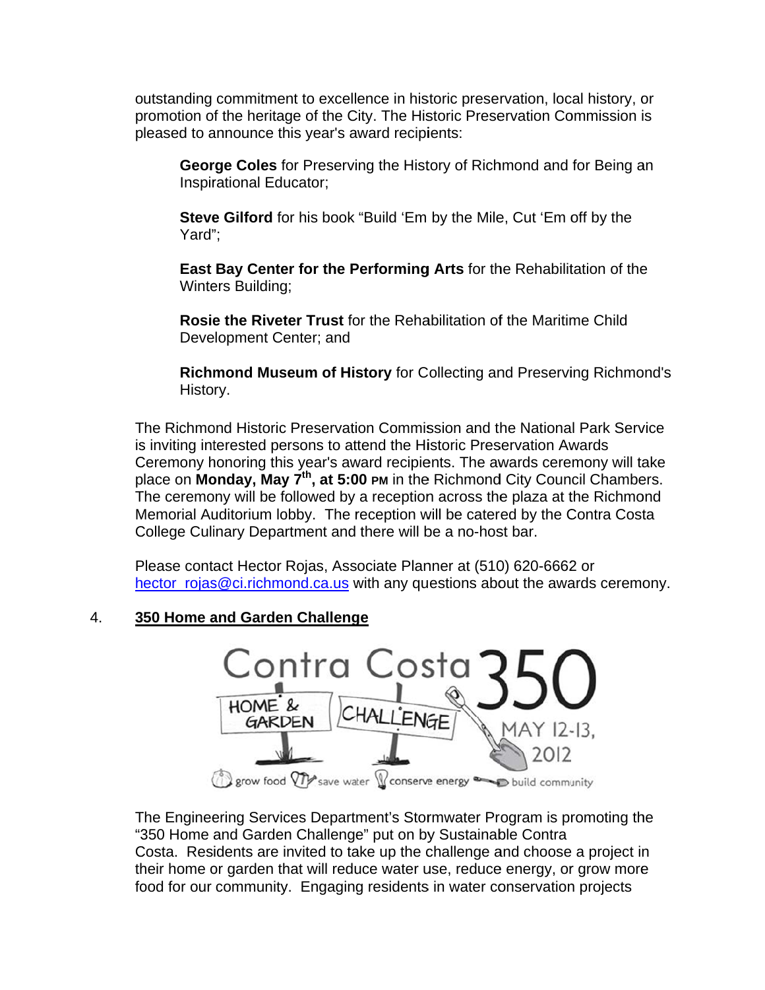outstanding commitment to excellence in historic preservation, local history, or promotion of the heritage of the City. The Historic Preservation Commission is pleased to announce this year's award recipients:

George Coles for Preserving the History of Richmond and for Being an **Inspirational Educator:** 

Steve Gilford for his book "Build 'Em by the Mile, Cut 'Em off by the Yard":

East Bay Center for the Performing Arts for the Rehabilitation of the **Winters Building:** 

**Rosie the Riveter Trust** for the Rehabilitation of the Maritime Child Development Center; and

Richmond Museum of History for Collecting and Preserving Richmond's History.

The Richmond Historic Preservation Commission and the National Park Service is inviting interested persons to attend the Historic Preservation Awards Ceremony honoring this year's award recipients. The awards ceremony will take place on Monday, May 7<sup>th</sup>, at 5:00 PM in the Richmond City Council Chambers. The ceremony will be followed by a reception across the plaza at the Richmond Memorial Auditorium lobby. The reception will be catered by the Contra Costa College Culinary Department and there will be a no-host bar.

Please contact Hector Rojas, Associate Planner at (510) 620-6662 or hector\_rojas@ci.richmond.ca.us with any questions about the awards ceremony.

#### $\overline{4}$ 350 Home and Garden Challenge



The Engineering Services Department's Stormwater Program is promoting the "350 Home and Garden Challenge" put on by Sustainable Contra Costa. Residents are invited to take up the challenge and choose a project in their home or garden that will reduce water use, reduce energy, or grow more food for our community. Engaging residents in water conservation projects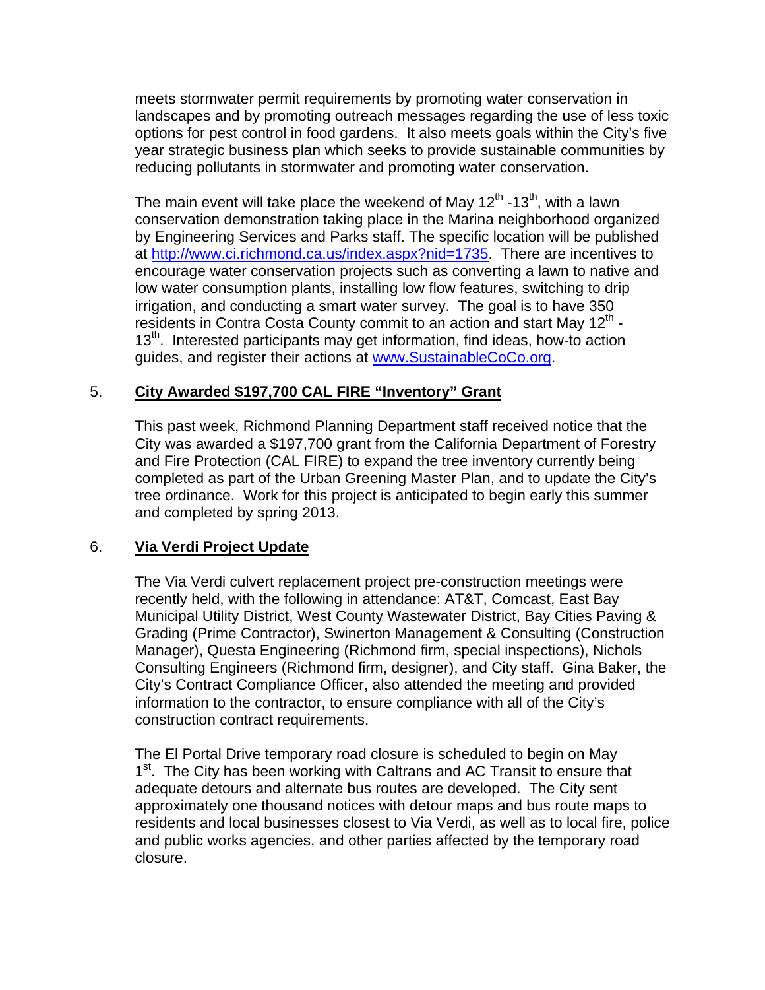meets stormwater permit requirements by promoting water conservation in landscapes and by promoting outreach messages regarding the use of less toxic options for pest control in food gardens. It also meets goals within the City's five year strategic business plan which seeks to provide sustainable communities by reducing pollutants in stormwater and promoting water conservation.

The main event will take place the weekend of May  $12<sup>th</sup>$  -13<sup>th</sup>, with a lawn conservation demonstration taking place in the Marina neighborhood organized by Engineering Services and Parks staff. The specific location will be published at http://www.ci.richmond.ca.us/index.aspx?nid=1735. There are incentives to encourage water conservation projects such as converting a lawn to native and low water consumption plants, installing low flow features, switching to drip irrigation, and conducting a smart water survey. The goal is to have 350 residents in Contra Costa County commit to an action and start May  $12<sup>th</sup>$  -13<sup>th</sup>. Interested participants may get information, find ideas, how-to action guides, and register their actions at www.SustainableCoCo.org.

# 5. **City Awarded \$197,700 CAL FIRE "Inventory" Grant**

This past week, Richmond Planning Department staff received notice that the City was awarded a \$197,700 grant from the California Department of Forestry and Fire Protection (CAL FIRE) to expand the tree inventory currently being completed as part of the Urban Greening Master Plan, and to update the City's tree ordinance. Work for this project is anticipated to begin early this summer and completed by spring 2013.

### 6. **Via Verdi Project Update**

The Via Verdi culvert replacement project pre-construction meetings were recently held, with the following in attendance: AT&T, Comcast, East Bay Municipal Utility District, West County Wastewater District, Bay Cities Paving & Grading (Prime Contractor), Swinerton Management & Consulting (Construction Manager), Questa Engineering (Richmond firm, special inspections), Nichols Consulting Engineers (Richmond firm, designer), and City staff. Gina Baker, the City's Contract Compliance Officer, also attended the meeting and provided information to the contractor, to ensure compliance with all of the City's construction contract requirements.

The El Portal Drive temporary road closure is scheduled to begin on May 1<sup>st</sup>. The City has been working with Caltrans and AC Transit to ensure that adequate detours and alternate bus routes are developed. The City sent approximately one thousand notices with detour maps and bus route maps to residents and local businesses closest to Via Verdi, as well as to local fire, police and public works agencies, and other parties affected by the temporary road closure.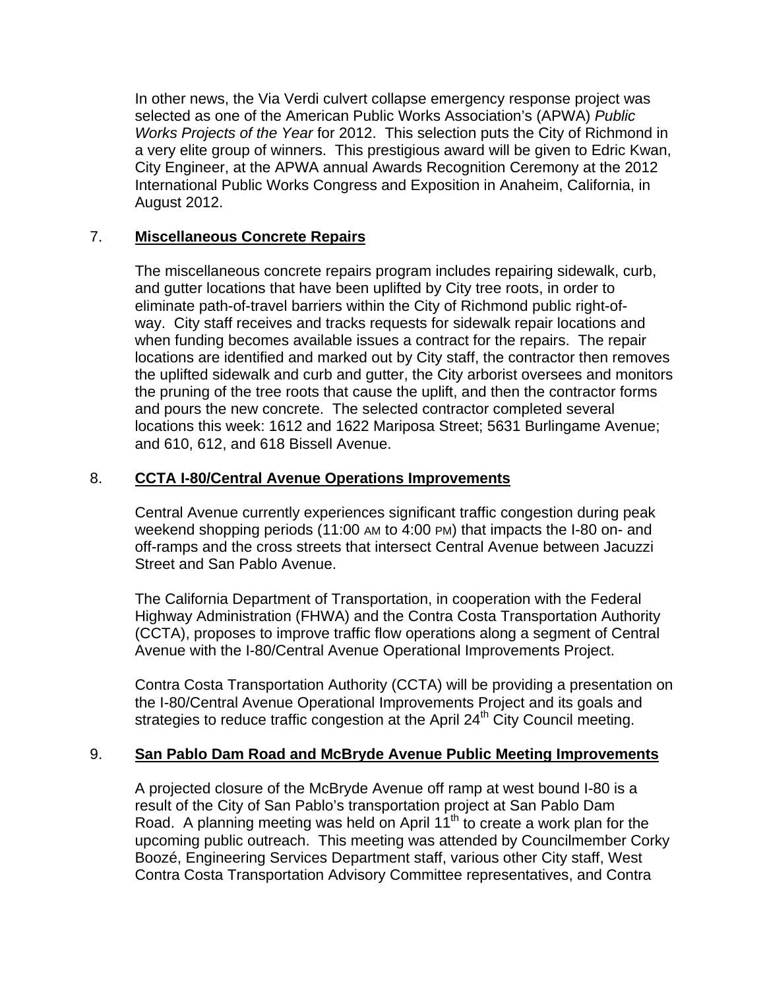In other news, the Via Verdi culvert collapse emergency response project was selected as one of the American Public Works Association's (APWA) *Public Works Projects of the Year* for 2012. This selection puts the City of Richmond in a very elite group of winners. This prestigious award will be given to Edric Kwan, City Engineer, at the APWA annual Awards Recognition Ceremony at the 2012 International Public Works Congress and Exposition in Anaheim, California, in August 2012.

# 7. **Miscellaneous Concrete Repairs**

The miscellaneous concrete repairs program includes repairing sidewalk, curb, and gutter locations that have been uplifted by City tree roots, in order to eliminate path-of-travel barriers within the City of Richmond public right-ofway. City staff receives and tracks requests for sidewalk repair locations and when funding becomes available issues a contract for the repairs. The repair locations are identified and marked out by City staff, the contractor then removes the uplifted sidewalk and curb and gutter, the City arborist oversees and monitors the pruning of the tree roots that cause the uplift, and then the contractor forms and pours the new concrete. The selected contractor completed several locations this week: 1612 and 1622 Mariposa Street; 5631 Burlingame Avenue; and 610, 612, and 618 Bissell Avenue.

### 8. **CCTA I-80/Central Avenue Operations Improvements**

Central Avenue currently experiences significant traffic congestion during peak weekend shopping periods (11:00 AM to 4:00 PM) that impacts the I-80 on- and off-ramps and the cross streets that intersect Central Avenue between Jacuzzi Street and San Pablo Avenue.

The California Department of Transportation, in cooperation with the Federal Highway Administration (FHWA) and the Contra Costa Transportation Authority (CCTA), proposes to improve traffic flow operations along a segment of Central Avenue with the I-80/Central Avenue Operational Improvements Project.

Contra Costa Transportation Authority (CCTA) will be providing a presentation on the I-80/Central Avenue Operational Improvements Project and its goals and strategies to reduce traffic congestion at the April 24<sup>th</sup> City Council meeting.

### 9. **San Pablo Dam Road and McBryde Avenue Public Meeting Improvements**

A projected closure of the McBryde Avenue off ramp at west bound I-80 is a result of the City of San Pablo's transportation project at San Pablo Dam Road. A planning meeting was held on April  $11^{th}$  to create a work plan for the upcoming public outreach. This meeting was attended by Councilmember Corky Boozé, Engineering Services Department staff, various other City staff, West Contra Costa Transportation Advisory Committee representatives, and Contra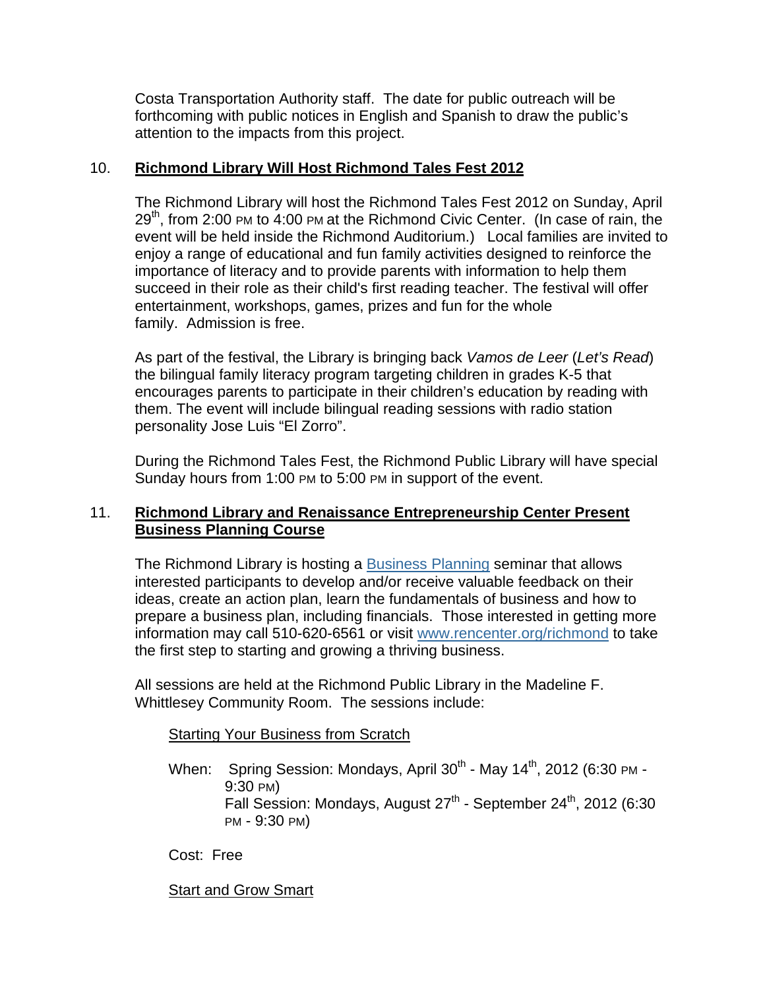Costa Transportation Authority staff. The date for public outreach will be forthcoming with public notices in English and Spanish to draw the public's attention to the impacts from this project.

## 10. **Richmond Library Will Host Richmond Tales Fest 2012**

The Richmond Library will host the Richmond Tales Fest 2012 on Sunday, April  $29<sup>th</sup>$ , from 2:00 PM to 4:00 PM at the Richmond Civic Center. (In case of rain, the event will be held inside the Richmond Auditorium.) Local families are invited to enjoy a range of educational and fun family activities designed to reinforce the importance of literacy and to provide parents with information to help them succeed in their role as their child's first reading teacher. The festival will offer entertainment, workshops, games, prizes and fun for the whole family. Admission is free.

As part of the festival, the Library is bringing back *Vamos de Leer* (*Let's Read*) the bilingual family literacy program targeting children in grades K-5 that encourages parents to participate in their children's education by reading with them. The event will include bilingual reading sessions with radio station personality Jose Luis "El Zorro".

During the Richmond Tales Fest, the Richmond Public Library will have special Sunday hours from 1:00 PM to 5:00 PM in support of the event.

# 11. **Richmond Library and Renaissance Entrepreneurship Center Present Business Planning Course**

The Richmond Library is hosting a Business Planning seminar that allows interested participants to develop and/or receive valuable feedback on their ideas, create an action plan, learn the fundamentals of business and how to prepare a business plan, including financials. Those interested in getting more information may call 510-620-6561 or visit www.rencenter.org/richmond to take the first step to starting and growing a thriving business.

All sessions are held at the Richmond Public Library in the Madeline F. Whittlesey Community Room. The sessions include:

### **Starting Your Business from Scratch**

When: Spring Session: Mondays, April  $30^{th}$  - May  $14^{th}$ , 2012 (6:30 PM -9:30 PM) Fall Session: Mondays, August 27<sup>th</sup> - September 24<sup>th</sup>, 2012 (6:30 PM - 9:30 PM)

Cost: Free

### Start and Grow Smart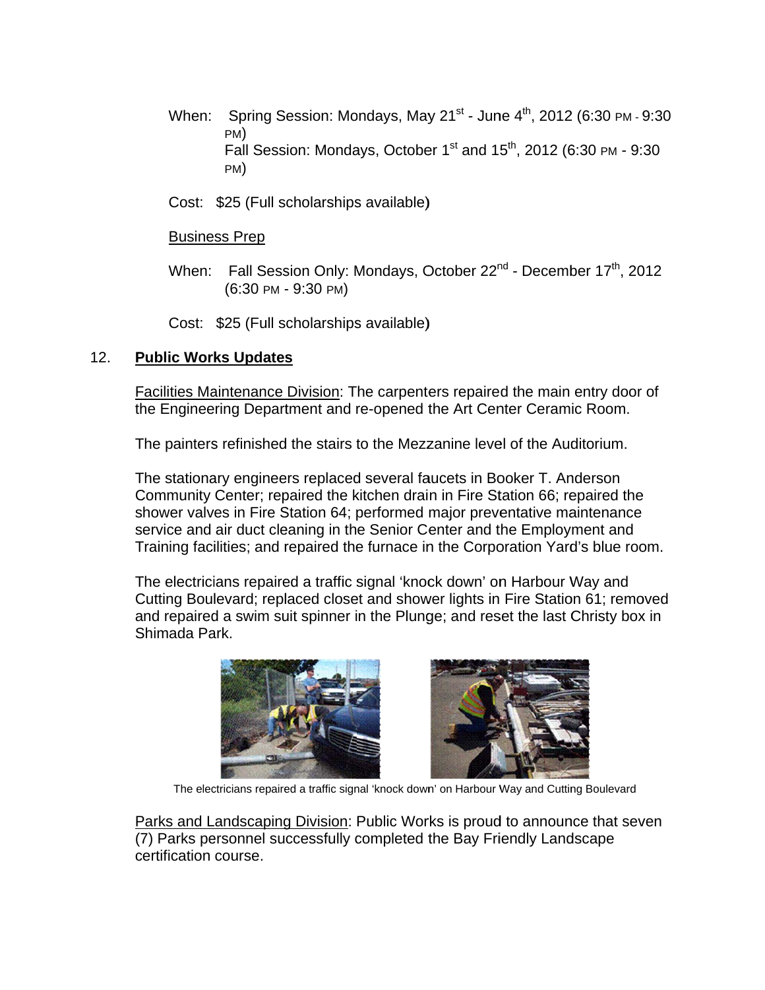- When: Spring Session: Mondays, May 21<sup>st</sup> June  $4<sup>th</sup>$ , 2012 (6:30 PM 9:30) PM) Fall Session: Mondays, October 1<sup>st</sup> and 15<sup>th</sup>, 2012 (6:30 PM - 9:30  $PM)$
- Cost: \$25 (Full scholarships available)

### **Business Prep**

- When: Fall Session Only: Mondays, October 22<sup>nd</sup> December 17<sup>th</sup>, 2012  $(6:30 \text{ PM} - 9:30 \text{ PM})$
- Cost: \$25 (Full scholarships available)

#### $12.$ **Public Works Updates**

Facilities Maintenance Division: The carpenters repaired the main entry door of the Engineering Department and re-opened the Art Center Ceramic Room.

The painters refinished the stairs to the Mezzanine level of the Auditorium.

The stationary engineers replaced several faucets in Booker T. Anderson Community Center; repaired the kitchen drain in Fire Station 66; repaired the shower valves in Fire Station 64; performed major preventative maintenance service and air duct cleaning in the Senior Center and the Employment and Training facilities; and repaired the furnace in the Corporation Yard's blue room.

The electricians repaired a traffic signal 'knock down' on Harbour Way and Cutting Boulevard; replaced closet and shower lights in Fire Station 61; removed and repaired a swim suit spinner in the Plunge; and reset the last Christy box in Shimada Park.





The electricians repaired a traffic signal 'knock down' on Harbour Way and Cutting Boulevard

Parks and Landscaping Division: Public Works is proud to announce that seven (7) Parks personnel successfully completed the Bay Friendly Landscape certification course.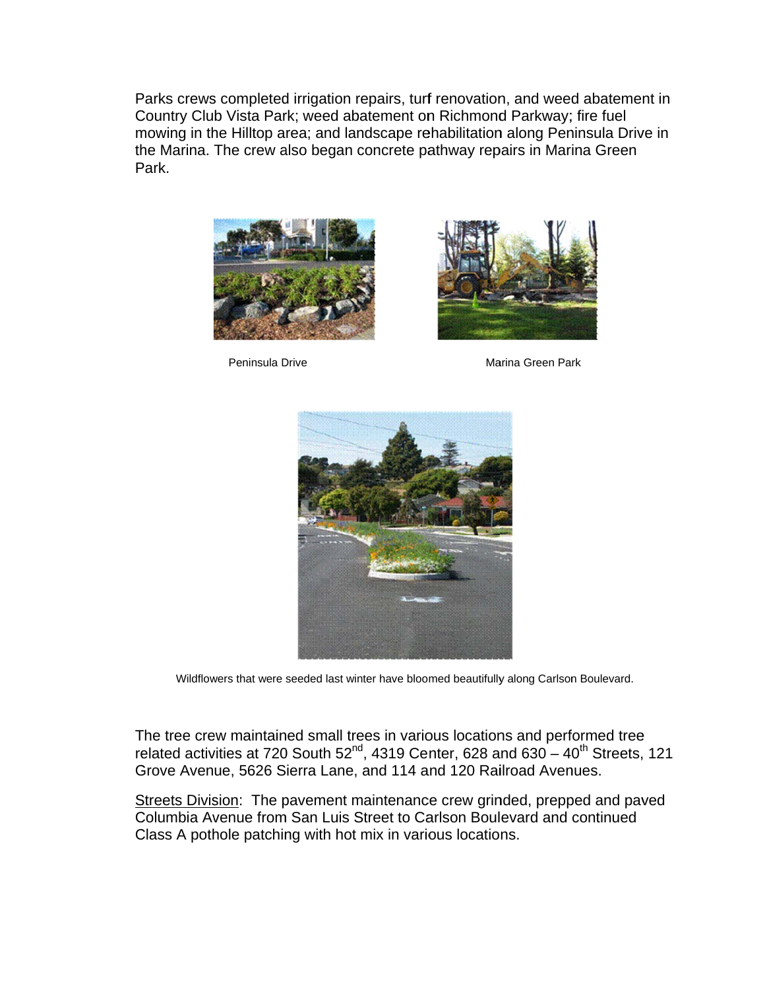Parks crews completed irrigation repairs, turf renovation, and weed abatement in Country Club Vista Park; weed abatement on Richmond Parkway; fire fuel mowing in the Hilltop area; and landscape rehabilitation along Peninsula Drive in the Marina. The crew also began concrete pathway repairs in Marina Green Park.



Peninsula Drive



Marina Green Park



Wildflowers that were seeded last winter have bloomed beautifully along Carlson Boulevard.

The tree crew maintained small trees in various locations and performed tree related activities at 720 South 52<sup>nd</sup>, 4319 Center, 628 and 630 - 40<sup>th</sup> Streets, 121 Grove Avenue, 5626 Sierra Lane, and 114 and 120 Railroad Avenues.

Streets Division: The pavement maintenance crew grinded, prepped and paved Columbia Avenue from San Luis Street to Carlson Boulevard and continued Class A pothole patching with hot mix in various locations.